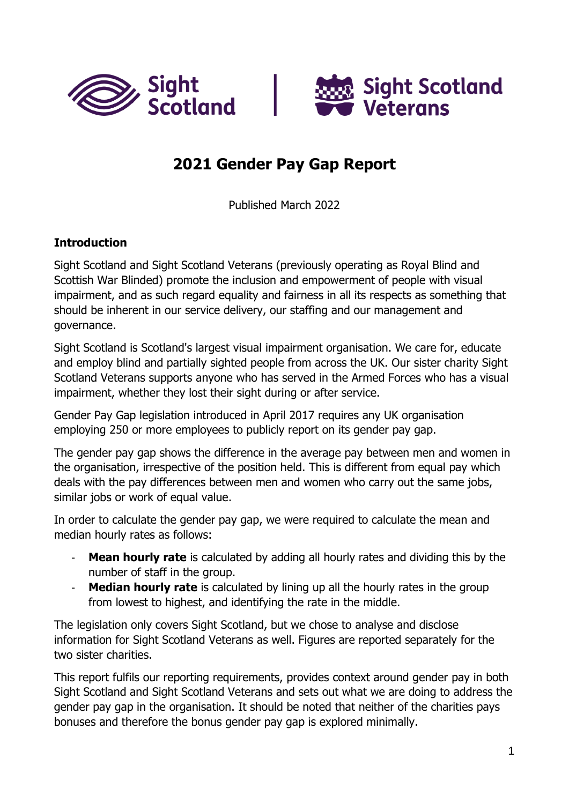



# **2021 Gender Pay Gap Report**

Published March 2022

### **Introduction**

Sight Scotland and Sight Scotland Veterans (previously operating as Royal Blind and Scottish War Blinded) promote the inclusion and empowerment of people with visual impairment, and as such regard equality and fairness in all its respects as something that should be inherent in our service delivery, our staffing and our management and governance.

Sight Scotland is Scotland's largest visual impairment organisation. We care for, educate and employ blind and partially sighted people from across the UK. Our sister charity Sight Scotland Veterans supports anyone who has served in the Armed Forces who has a visual impairment, whether they lost their sight during or after service.

Gender Pay Gap legislation introduced in April 2017 requires any UK organisation employing 250 or more employees to publicly report on its gender pay gap.

The gender pay gap shows the difference in the average pay between men and women in the organisation, irrespective of the position held. This is different from equal pay which deals with the pay differences between men and women who carry out the same jobs, similar jobs or work of equal value.

In order to calculate the gender pay gap, we were required to calculate the mean and median hourly rates as follows:

- **Mean hourly rate** is calculated by adding all hourly rates and dividing this by the number of staff in the group.
- **Median hourly rate** is calculated by lining up all the hourly rates in the group from lowest to highest, and identifying the rate in the middle.

The legislation only covers Sight Scotland, but we chose to analyse and disclose information for Sight Scotland Veterans as well. Figures are reported separately for the two sister charities.

This report fulfils our reporting requirements, provides context around gender pay in both Sight Scotland and Sight Scotland Veterans and sets out what we are doing to address the gender pay gap in the organisation. It should be noted that neither of the charities pays bonuses and therefore the bonus gender pay gap is explored minimally.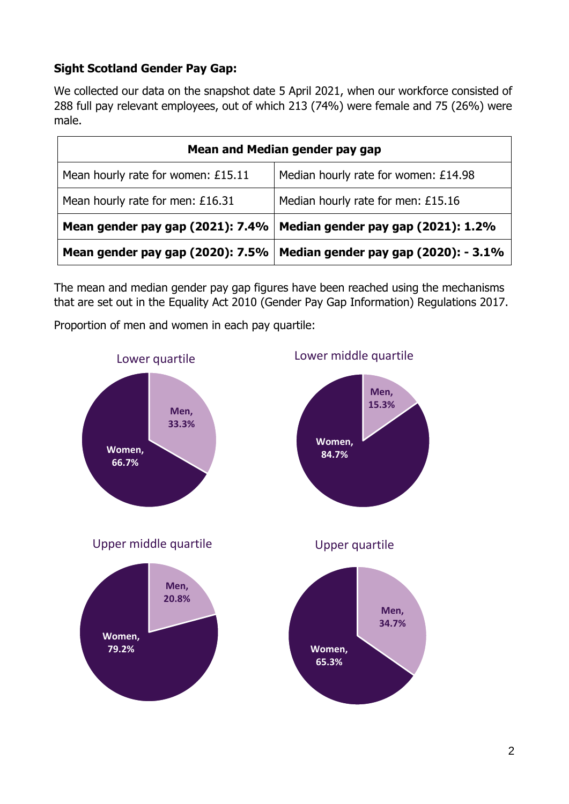## **Sight Scotland Gender Pay Gap:**

We collected our data on the snapshot date 5 April 2021, when our workforce consisted of 288 full pay relevant employees, out of which 213 (74%) were female and 75 (26%) were male.

| Mean and Median gender pay gap     |                                      |
|------------------------------------|--------------------------------------|
| Mean hourly rate for women: £15.11 | Median hourly rate for women: £14.98 |
| Mean hourly rate for men: £16.31   | Median hourly rate for men: £15.16   |
| Mean gender pay gap (2021): 7.4%   | Median gender pay gap (2021): 1.2%   |
| Mean gender pay gap (2020): 7.5%   | Median gender pay gap (2020): - 3.1% |

The mean and median gender pay gap figures have been reached using the mechanisms that are set out in the Equality Act 2010 (Gender Pay Gap Information) Regulations 2017.

Proportion of men and women in each pay quartile:

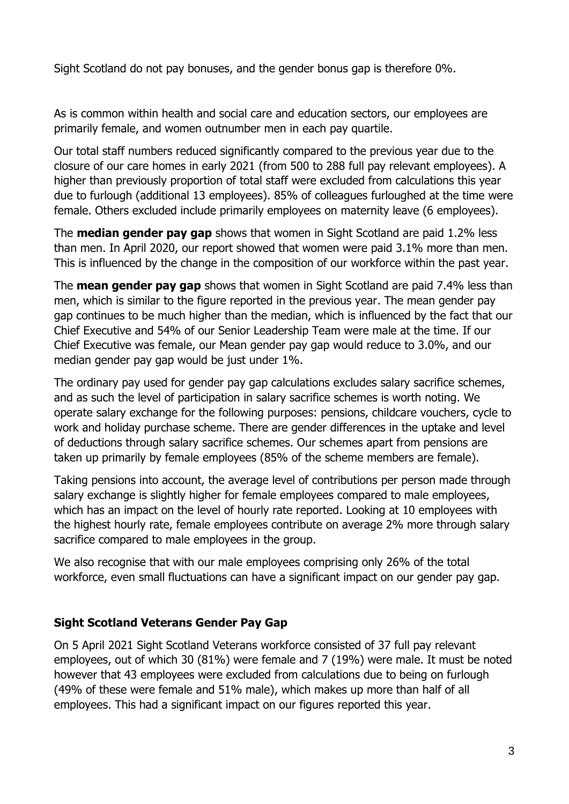Sight Scotland do not pay bonuses, and the gender bonus gap is therefore 0%.

As is common within health and social care and education sectors, our employees are primarily female, and women outnumber men in each pay quartile.

Our total staff numbers reduced significantly compared to the previous year due to the closure of our care homes in early 2021 (from 500 to 288 full pay relevant employees). A higher than previously proportion of total staff were excluded from calculations this year due to furlough (additional 13 employees). 85% of colleagues furloughed at the time were female. Others excluded include primarily employees on maternity leave (6 employees).

The **median gender pay gap** shows that women in Sight Scotland are paid 1.2% less than men. In April 2020, our report showed that women were paid 3.1% more than men. This is influenced by the change in the composition of our workforce within the past year.

The **mean gender pay gap** shows that women in Sight Scotland are paid 7.4% less than men, which is similar to the figure reported in the previous year. The mean gender pay gap continues to be much higher than the median, which is influenced by the fact that our Chief Executive and 54% of our Senior Leadership Team were male at the time. If our Chief Executive was female, our Mean gender pay gap would reduce to 3.0%, and our median gender pay gap would be just under 1%.

The ordinary pay used for gender pay gap calculations excludes salary sacrifice schemes, and as such the level of participation in salary sacrifice schemes is worth noting. We operate salary exchange for the following purposes: pensions, childcare vouchers, cycle to work and holiday purchase scheme. There are gender differences in the uptake and level of deductions through salary sacrifice schemes. Our schemes apart from pensions are taken up primarily by female employees (85% of the scheme members are female).

Taking pensions into account, the average level of contributions per person made through salary exchange is slightly higher for female employees compared to male employees, which has an impact on the level of hourly rate reported. Looking at 10 employees with the highest hourly rate, female employees contribute on average 2% more through salary sacrifice compared to male employees in the group.

We also recognise that with our male employees comprising only 26% of the total workforce, even small fluctuations can have a significant impact on our gender pay gap.

### **Sight Scotland Veterans Gender Pay Gap**

On 5 April 2021 Sight Scotland Veterans workforce consisted of 37 full pay relevant employees, out of which 30 (81%) were female and 7 (19%) were male. It must be noted however that 43 employees were excluded from calculations due to being on furlough (49% of these were female and 51% male), which makes up more than half of all employees. This had a significant impact on our figures reported this year.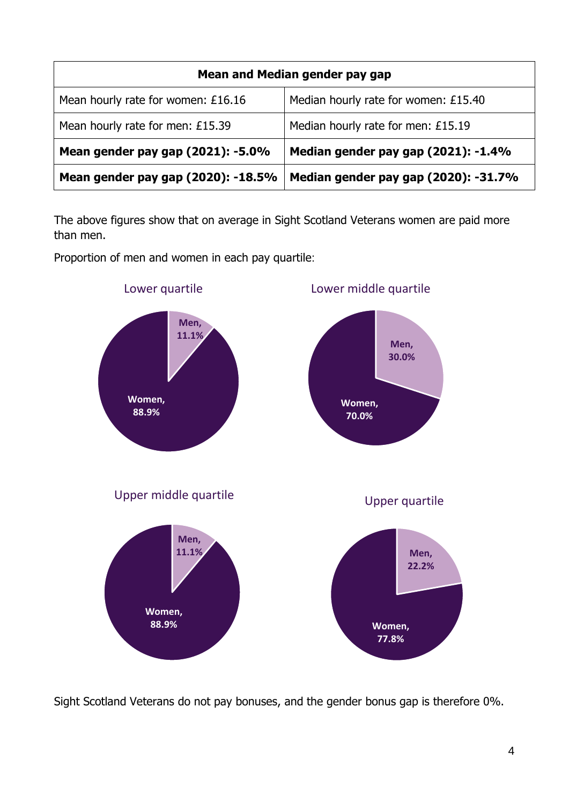| Mean and Median gender pay gap     |                                      |
|------------------------------------|--------------------------------------|
| Mean hourly rate for women: £16.16 | Median hourly rate for women: £15.40 |
| Mean hourly rate for men: £15.39   | Median hourly rate for men: £15.19   |
| Mean gender pay gap (2021): -5.0%  | Median gender pay gap (2021): -1.4%  |
| Mean gender pay gap (2020): -18.5% | Median gender pay gap (2020): -31.7% |

The above figures show that on average in Sight Scotland Veterans women are paid more than men.

Proportion of men and women in each pay quartile:



Sight Scotland Veterans do not pay bonuses, and the gender bonus gap is therefore 0%.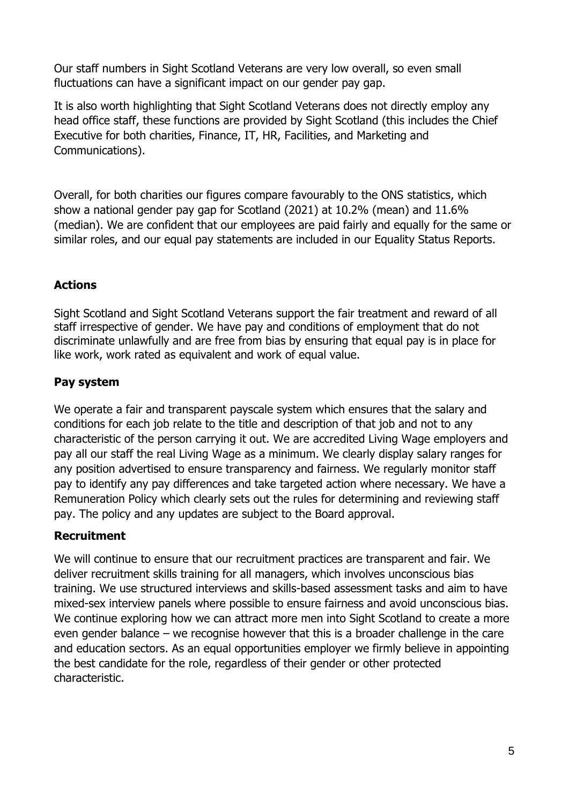Our staff numbers in Sight Scotland Veterans are very low overall, so even small fluctuations can have a significant impact on our gender pay gap.

It is also worth highlighting that Sight Scotland Veterans does not directly employ any head office staff, these functions are provided by Sight Scotland (this includes the Chief Executive for both charities, Finance, IT, HR, Facilities, and Marketing and Communications).

Overall, for both charities our figures compare favourably to the ONS statistics, which show a national gender pay gap for Scotland (2021) at 10.2% (mean) and 11.6% (median). We are confident that our employees are paid fairly and equally for the same or similar roles, and our equal pay statements are included in our Equality Status Reports.

# **Actions**

Sight Scotland and Sight Scotland Veterans support the fair treatment and reward of all staff irrespective of gender. We have pay and conditions of employment that do not discriminate unlawfully and are free from bias by ensuring that equal pay is in place for like work, work rated as equivalent and work of equal value.

# **Pay system**

We operate a fair and transparent payscale system which ensures that the salary and conditions for each job relate to the title and description of that job and not to any characteristic of the person carrying it out. We are accredited Living Wage employers and pay all our staff the real Living Wage as a minimum. We clearly display salary ranges for any position advertised to ensure transparency and fairness. We regularly monitor staff pay to identify any pay differences and take targeted action where necessary. We have a Remuneration Policy which clearly sets out the rules for determining and reviewing staff pay. The policy and any updates are subject to the Board approval.

# **Recruitment**

We will continue to ensure that our recruitment practices are transparent and fair. We deliver recruitment skills training for all managers, which involves unconscious bias training. We use structured interviews and skills-based assessment tasks and aim to have mixed-sex interview panels where possible to ensure fairness and avoid unconscious bias. We continue exploring how we can attract more men into Sight Scotland to create a more even gender balance – we recognise however that this is a broader challenge in the care and education sectors. As an equal opportunities employer we firmly believe in appointing the best candidate for the role, regardless of their gender or other protected characteristic.